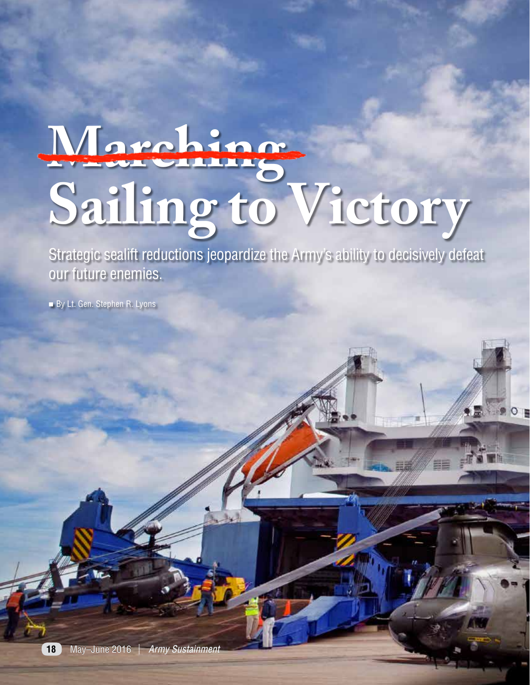# **Marching Sailing to Victory**

Strategic sealift reductions jeopardize the Army's ability to decisively defeat our future enemies.

**DO 01** 

By Lt. Gen. Stephen R. Lyons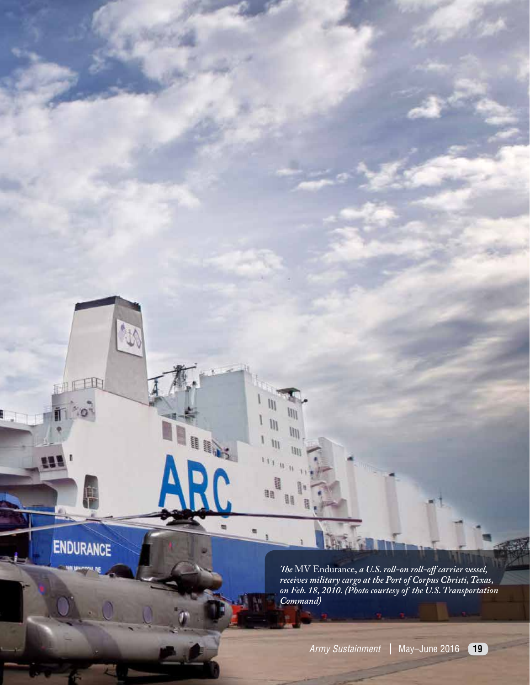**ENDURANCE** 

Ĥ

Щ

fIn

*The* MV Endurance**,** *a U.S. roll-on roll-off carrier vessel, receives military cargo at the Port of Corpus Christi, Texas, on Feb. 18, 2010. (Photo courtesy of the U.S. Transportation Command)*

 $\mathbf{u}$ 

 $\mathbf{u}$ 

鼺

**H** 

HI<sup>1</sup>

II.

III

llii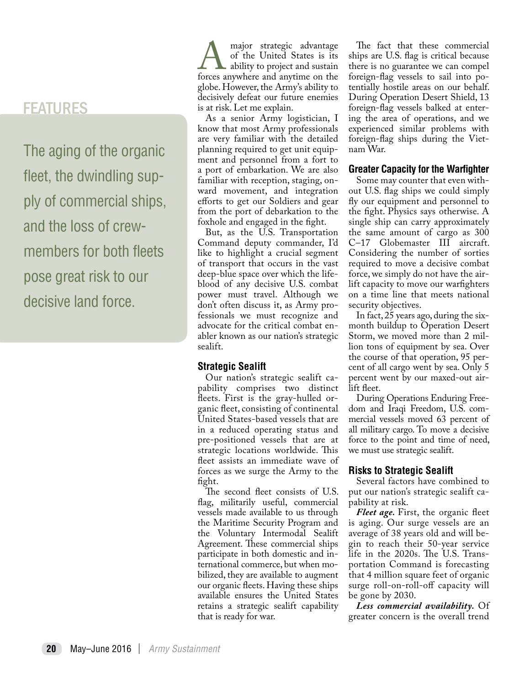## FEATURES

The aging of the organic fleet, the dwindling supply of commercial ships, and the loss of crewmembers for both fleets pose great risk to our decisive land force.

major strategic advantage<br>of the United States is its<br>forces anywhere and anytime on the of the United States is its **A** ability to project and sustain globe. However, the Army's ability to decisively defeat our future enemies is at risk. Let me explain.

As a senior Army logistician, I know that most Army professionals are very familiar with the detailed planning required to get unit equipment and personnel from a fort to a port of embarkation. We are also familiar with reception, staging, onward movement, and integration efforts to get our Soldiers and gear from the port of debarkation to the foxhole and engaged in the fight.

But, as the U.S. Transportation Command deputy commander, I'd like to highlight a crucial segment of transport that occurs in the vast deep-blue space over which the lifeblood of any decisive U.S. combat power must travel. Although we don't often discuss it, as Army professionals we must recognize and advocate for the critical combat enabler known as our nation's strategic sealift.

### **Strategic Sealift**

Our nation's strategic sealift capability comprises two distinct fleets. First is the gray-hulled organic fleet, consisting of continental United States-based vessels that are in a reduced operating status and pre-positioned vessels that are at strategic locations worldwide. This fleet assists an immediate wave of forces as we surge the Army to the fight.

The second fleet consists of U.S. flag, militarily useful, commercial vessels made available to us through the Maritime Security Program and the Voluntary Intermodal Sealift Agreement. These commercial ships participate in both domestic and international commerce, but when mobilized, they are available to augment our organic fleets. Having these ships available ensures the United States retains a strategic sealift capability that is ready for war.

The fact that these commercial ships are U.S. flag is critical because there is no guarantee we can compel foreign-flag vessels to sail into potentially hostile areas on our behalf. During Operation Desert Shield, 13 foreign-flag vessels balked at entering the area of operations, and we experienced similar problems with foreign-flag ships during the Vietnam War.

#### **Greater Capacity for the Warfighter**

Some may counter that even without U.S. flag ships we could simply fly our equipment and personnel to the fight. Physics says otherwise. A single ship can carry approximately the same amount of cargo as 300 C–17 Globemaster III aircraft. Considering the number of sorties required to move a decisive combat force, we simply do not have the airlift capacity to move our warfighters on a time line that meets national security objectives.

In fact, 25 years ago, during the sixmonth buildup to Operation Desert Storm, we moved more than 2 million tons of equipment by sea. Over the course of that operation, 95 percent of all cargo went by sea. Only 5 percent went by our maxed-out airlift fleet.

During Operations Enduring Freedom and Iraqi Freedom, U.S. commercial vessels moved 63 percent of all military cargo. To move a decisive force to the point and time of need, we must use strategic sealift.

### **Risks to Strategic Sealift**

Several factors have combined to put our nation's strategic sealift capability at risk.

*Fleet age.* First, the organic fleet is aging. Our surge vessels are an average of 38 years old and will begin to reach their 50-year service life in the 2020s. The U.S. Transportation Command is forecasting that 4 million square feet of organic surge roll-on-roll-off capacity will be gone by 2030.

*Less commercial availability.* Of greater concern is the overall trend